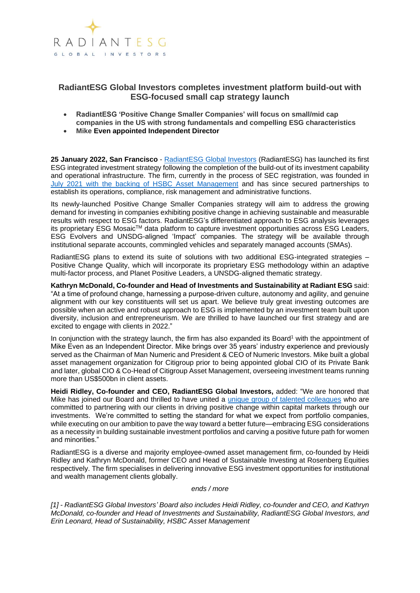

## **RadiantESG Global Investors completes investment platform build-out with ESG-focused small cap strategy launch**

- **RadiantESG 'Positive Change Smaller Companies' will focus on small/mid cap companies in the US with strong fundamentals and compelling ESG characteristics**
- **Mike Even appointed Independent Director**

**25 January 2022, San Francisco** - [RadiantESG Global Investors](http://www.radiantesg.com/) (RadiantESG) has launched its first ESG integrated investment strategy following the completion of the build-out of its investment capability and operational infrastructure. The firm, currently in the process of SEC registration, was founded in [July 2021 with the backing of HSBC Asset Management](https://www.businesswire.com/news/home/20210701005634/en/HSBC-Asset-Management-Finances-the-Launch-of-RadiantESG-Global-Investors) and has since secured partnerships to establish its operations, compliance, risk management and administrative functions.

Its newly-launched Positive Change Smaller Companies strategy will aim to address the growing demand for investing in companies exhibiting positive change in achieving sustainable and measurable results with respect to ESG factors. RadiantESG's differentiated approach to ESG analysis leverages its proprietary ESG Mosaic<sup>™</sup> data platform to capture investment opportunities across ESG Leaders, ESG Evolvers and UNSDG-aligned 'Impact' companies. The strategy will be available through institutional separate accounts, commingled vehicles and separately managed accounts (SMAs).

RadiantESG plans to extend its suite of solutions with two additional ESG-integrated strategies – Positive Change Quality, which will incorporate its proprietary ESG methodology within an adaptive multi-factor process, and Planet Positive Leaders, a UNSDG-aligned thematic strategy.

**Kathryn McDonald, Co-founder and Head of Investments and Sustainability at Radiant ESG** said: "At a time of profound change, harnessing a purpose-driven culture, autonomy and agility, and genuine alignment with our key constituents will set us apart. We believe truly great investing outcomes are possible when an active and robust approach to ESG is implemented by an investment team built upon diversity, inclusion and entrepreneurism. We are thrilled to have launched our first strategy and are excited to engage with clients in 2022."

In conjunction with the strategy launch, the firm has also expanded its Board<sup>1</sup> with the appointment of Mike Even as an Independent Director. Mike brings over 35 years' industry experience and previously served as the Chairman of Man Numeric and President & CEO of Numeric Investors. Mike built a global asset management organization for Citigroup prior to being appointed global CIO of its Private Bank and later, global CIO & Co-Head of Citigroup Asset Management, overseeing investment teams running more than US\$500bn in client assets.

**Heidi Ridley, Co-founder and CEO, RadiantESG Global Investors,** added: "We are honored that Mike has joined our Board and thrilled to have united a [unique group of talented colleagues](https://secureservercdn.net/45.40.148.147/fkl.850.myftpupload.com/wp-content/uploads/2021/08/RadiantESG-Global-Investors-expands-with-three-key-hires_081621.jpg) who are committed to partnering with our clients in driving positive change within capital markets through our investments. We're committed to setting the standard for what we expect from portfolio companies, while executing on our ambition to pave the way toward a better future—embracing ESG considerations as a necessity in building sustainable investment portfolios and carving a positive future path for women and minorities."

RadiantESG is a diverse and majority employee-owned asset management firm, co-founded by Heidi Ridley and Kathryn McDonald, former CEO and Head of Sustainable Investing at Rosenberg Equities respectively. The firm specialises in delivering innovative ESG investment opportunities for institutional and wealth management clients globally.

*ends / more*

*[1] - RadiantESG Global Investors' Board also includes Heidi Ridley, co-founder and CEO, and Kathryn McDonald, co-founder and Head of Investments and Sustainability, RadiantESG Global Investors, and Erin Leonard, Head of Sustainability, HSBC Asset Management*